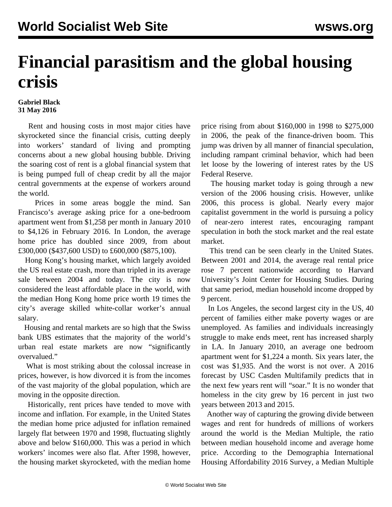## **Financial parasitism and the global housing crisis**

## **Gabriel Black 31 May 2016**

 Rent and housing costs in most major cities have skyrocketed since the financial crisis, cutting deeply into workers' standard of living and prompting concerns about a new global housing bubble. Driving the soaring cost of rent is a global financial system that is being pumped full of cheap credit by all the major central governments at the expense of workers around the world.

 Prices in some areas boggle the mind. San Francisco's average asking price for a one-bedroom apartment went from \$1,258 per month in January 2010 to \$4,126 in February 2016. In London, the average home price has doubled since 2009, from about £300,000 (\$437,600 USD) to £600,000 (\$875,100).

 Hong Kong's housing market, which largely avoided the US real estate crash, more than tripled in its average sale between 2004 and today. The city is now considered the least affordable place in the world, with the median Hong Kong home price worth 19 times the city's average skilled white-collar worker's annual salary.

 Housing and rental markets are so high that the Swiss bank UBS estimates that the majority of the world's urban real estate markets are now "significantly overvalued."

 What is most striking about the colossal increase in prices, however, is how divorced it is from the incomes of the vast majority of the global population, which are moving in the opposite direction.

 Historically, rent prices have tended to move with income and inflation. For example, in the United States the median home price adjusted for inflation remained largely flat between 1970 and 1998, fluctuating slightly above and below \$160,000. This was a period in which workers' incomes were also flat. After 1998, however, the housing market skyrocketed, with the median home price rising from about \$160,000 in 1998 to \$275,000 in 2006, the peak of the finance-driven boom. This jump was driven by all manner of financial speculation, including rampant criminal behavior, which had been let loose by the lowering of interest rates by the US Federal Reserve.

 The housing market today is going through a new version of the 2006 housing crisis. However, unlike 2006, this process is global. Nearly every major capitalist government in the world is pursuing a policy of near-zero interest rates, encouraging rampant speculation in both the stock market and the real estate market.

 This trend can be seen clearly in the United States. Between 2001 and 2014, the average real rental price rose 7 percent nationwide according to Harvard University's Joint Center for Housing Studies. During that same period, median household income dropped by 9 percent.

 In Los Angeles, the second largest city in the US, 40 percent of families either make poverty wages or are unemployed. As families and individuals increasingly struggle to make ends meet, rent has increased sharply in LA. In January 2010, an average one bedroom apartment went for \$1,224 a month. Six years later, the cost was \$1,935. And the worst is not over. A 2016 forecast by USC Casden Multifamily predicts that in the next few years rent will "soar." It is no wonder that homeless in the city grew by 16 percent in just two years between 2013 and 2015.

 Another way of capturing the growing divide between wages and rent for hundreds of millions of workers around the world is the Median Multiple, the ratio between median household income and average home price. According to the Demographia International Housing Affordability 2016 Survey, a Median Multiple